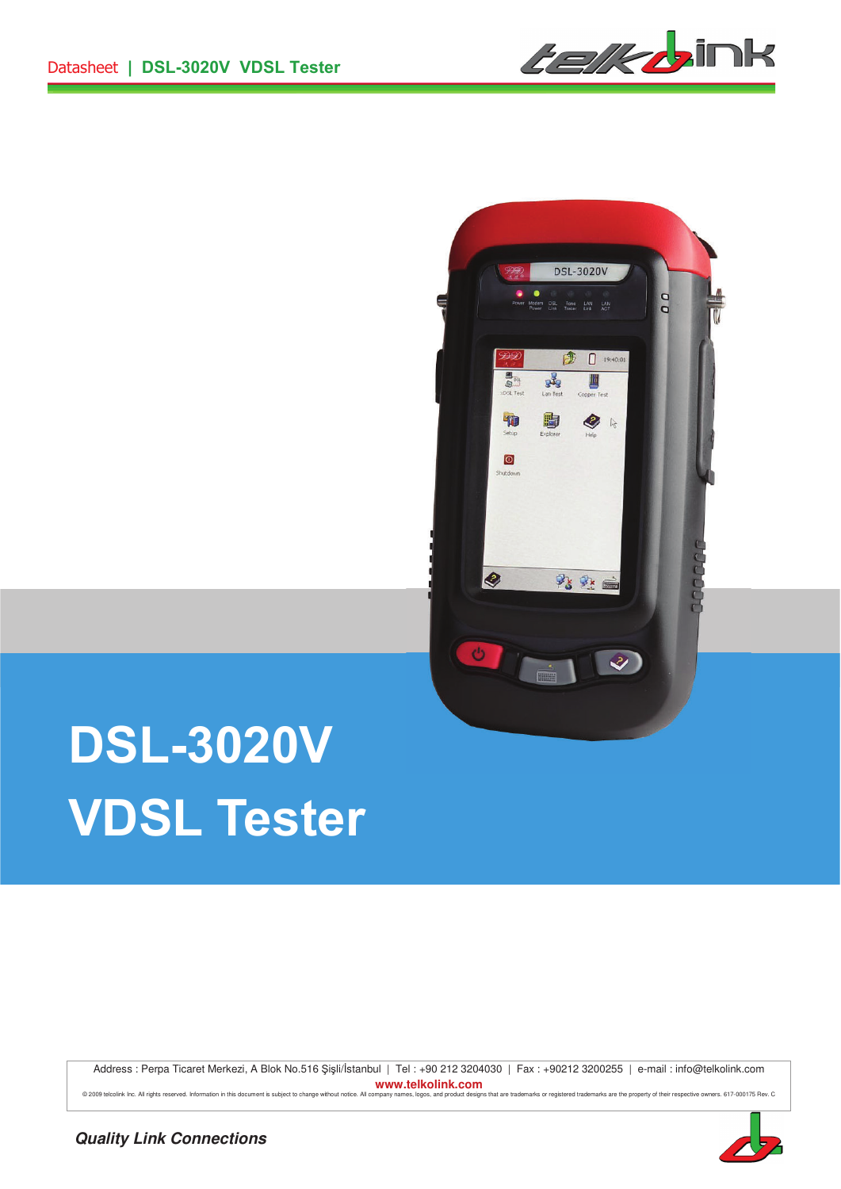*telkb*ink



# **DSL-3020V VDSL Tester**

Address : Perpa Ticaret Merkezi, A Blok No.516 Şişli/İstanbul | Tel : +90 212 3204030 | Fax : +90212 3200255 | e-mail : info@telkolink.com **www.telkolink.com**  @ 2009 telociink Inc. All rights reserved. Information in this document is subject to change without notice. All company names, logos, and product designs that are trademarks or registered trademarks are the property of th

**Quality Link Connections**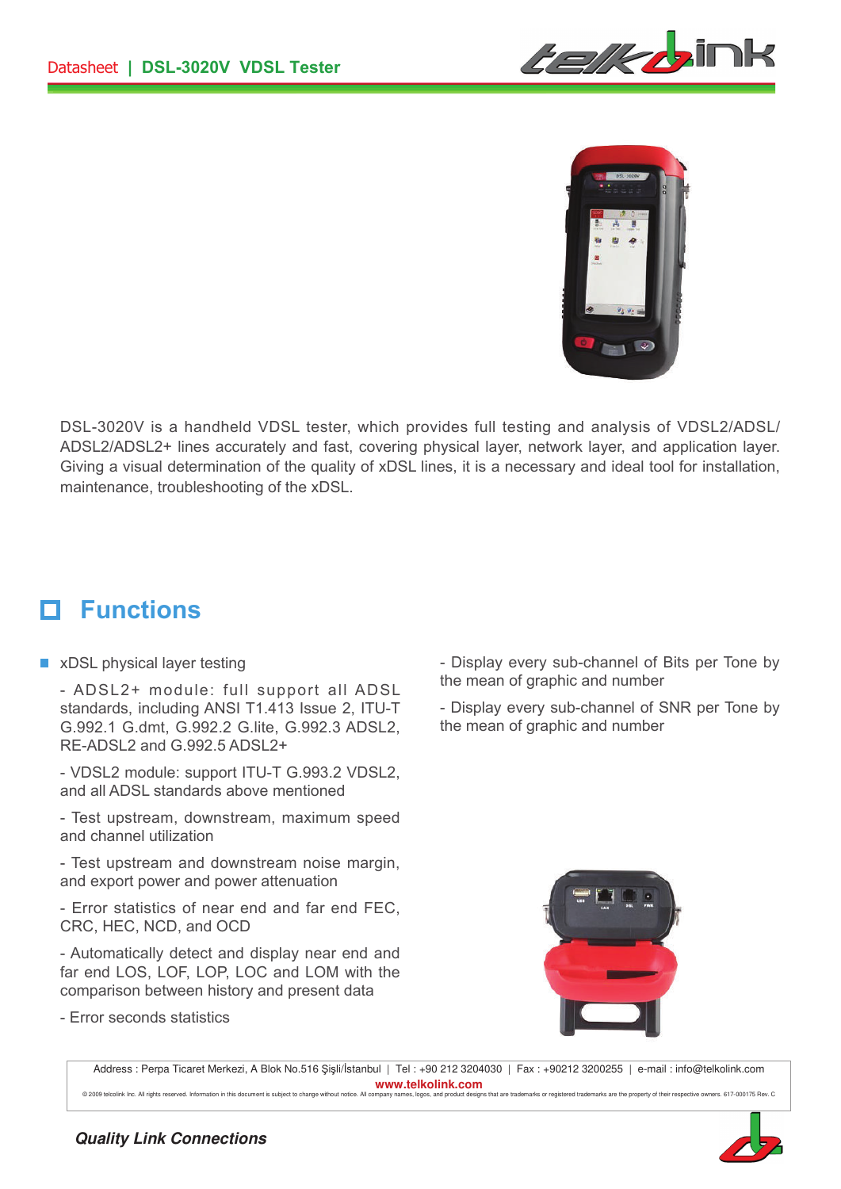



DSL-3020V is a handheld VDSL tester, which provides full testing and analysis of VDSL2/ADSL/ ADSL2/ADSL2+ lines accurately and fast, covering physical layer, network layer, and application layer. Giving a visual determination of the quality of xDSL lines, it is a necessary and ideal tool for installation, maintenance, troubleshooting of the xDSL.

#### **Functions** П

■ xDSL physical layer testing

- ADSL2+ module: full support all ADSL standards, including ANSI T1.413 Issue 2, ITU-T G.992.1 G.dmt, G.992.2 G.lite, G.992.3 ADSL2, RE-ADSL2 and G.992.5 ADSL2+

- VDSL2 module: support ITU-T G.993.2 VDSL2, and all ADSL standards above mentioned

- Test upstream, downstream, maximum speed and channel utilization

- Test upstream and downstream noise margin, and export power and power attenuation

- Error statistics of near end and far end FEC, CRC, HEC, NCD, and OCD

- Automatically detect and display near end and far end LOS, LOF, LOP, LOC and LOM with the comparison between history and present data

- Error seconds statistics

- Display every sub-channel of Bits per Tone by the mean of graphic and number

- Display every sub-channel of SNR per Tone by the mean of graphic and number



Address : Perpa Ticaret Merkezi, A Blok No.516 Şişli/İstanbul | Tel : +90 212 3204030 | Fax : +90212 3200255 | e-mail : info@telkolink.com **www.telkolink.com** 

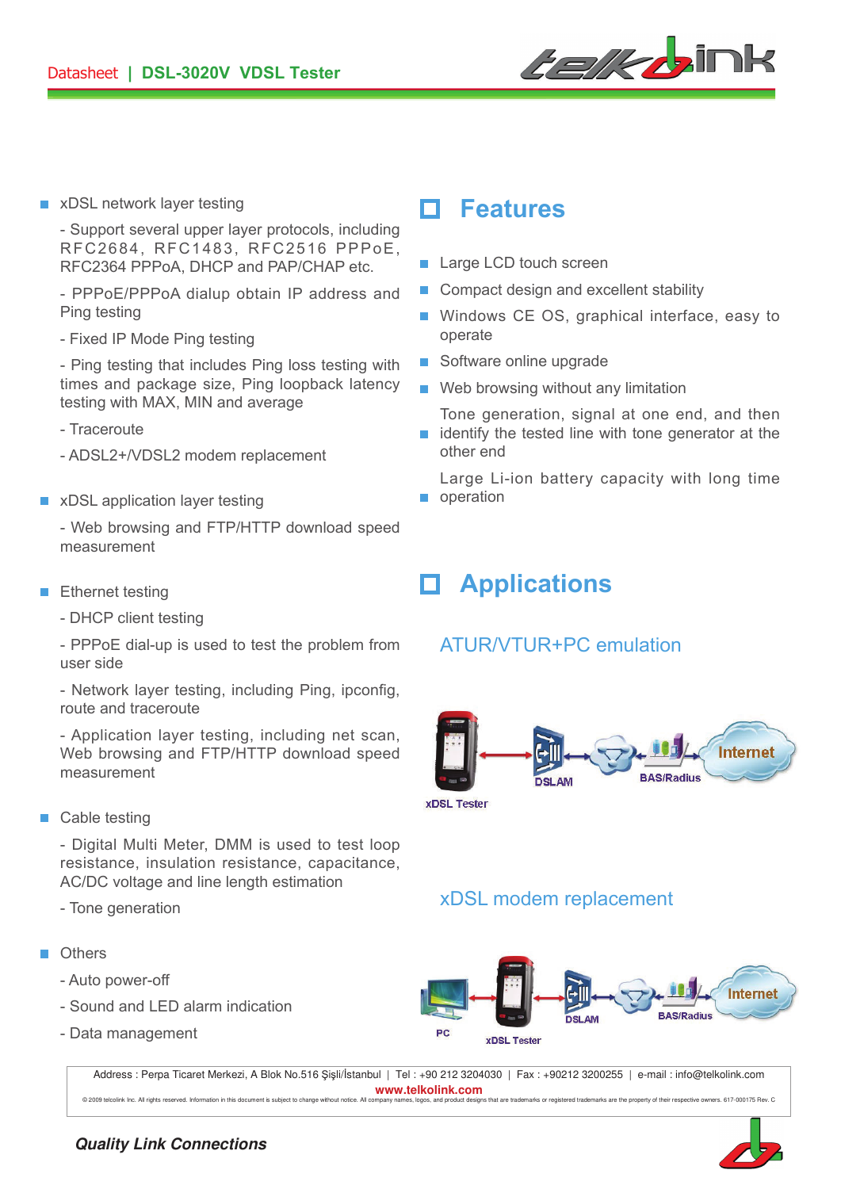

**Features** xDSL network layer testing

- Support several upper layer protocols, including RFC2684, RFC1483, RFC2516 PPPoE, RFC2364 PPPoA, DHCP and PAP/CHAP etc.

- PPPoE/PPPoA dialup obtain IP address and Ping testing

- Fixed IP Mode Ping testing

- Ping testing that includes Ping loss testing with times and package size, Ping loopback latency testing with MAX, MIN and average

- Traceroute
- ADSL2+/VDSL2 modem replacement
- **EXDSL application layer testing**

- Web browsing and FTP/HTTP download speed measurement

- **Ethernet testing** 
	- DHCP client testing

- PPPoE dial-up is used to test the problem from user side

- Network layer testing, including Ping, ipconfig, route and traceroute

- Application layer testing, including net scan, Web browsing and FTP/HTTP download speed measurement

■ Cable testing

- Digital Multi Meter, DMM is used to test loop resistance, insulation resistance, capacitance, AC/DC voltage and line length estimation

- Tone generation
- **n** Others
	- Auto power-off
	- Sound and LED alarm indication
	- Data management

- **Large LCD touch screen**
- Compact design and excellent stability  $\Box$
- Windows CE OS, graphical interface, easy to operate
- Software online upgrade
- $\blacksquare$  Web browsing without any limitation
- Tone generation, signal at one end, and then  $\blacksquare$  identify the tested line with tone generator at the other end
- Large Li-ion battery capacity with long time operation

# **Applications**

### ATUR/VTUR+PC emulation



xDSL modem replacement



Address : Perpa Ticaret Merkezi, A Blok No.516 Şişli/İstanbul | Tel : +90 212 3204030 | Fax : +90212 3200255 | e-mail : info@telkolink.com **www.telkolink.com**  © 2009 teleplink Inc. All rights reserved Information in this document is subject to change without notice. All company pames longs, and product designs that are trademarks or registered trademarks are the property of thei

#### **Quality Link Connections**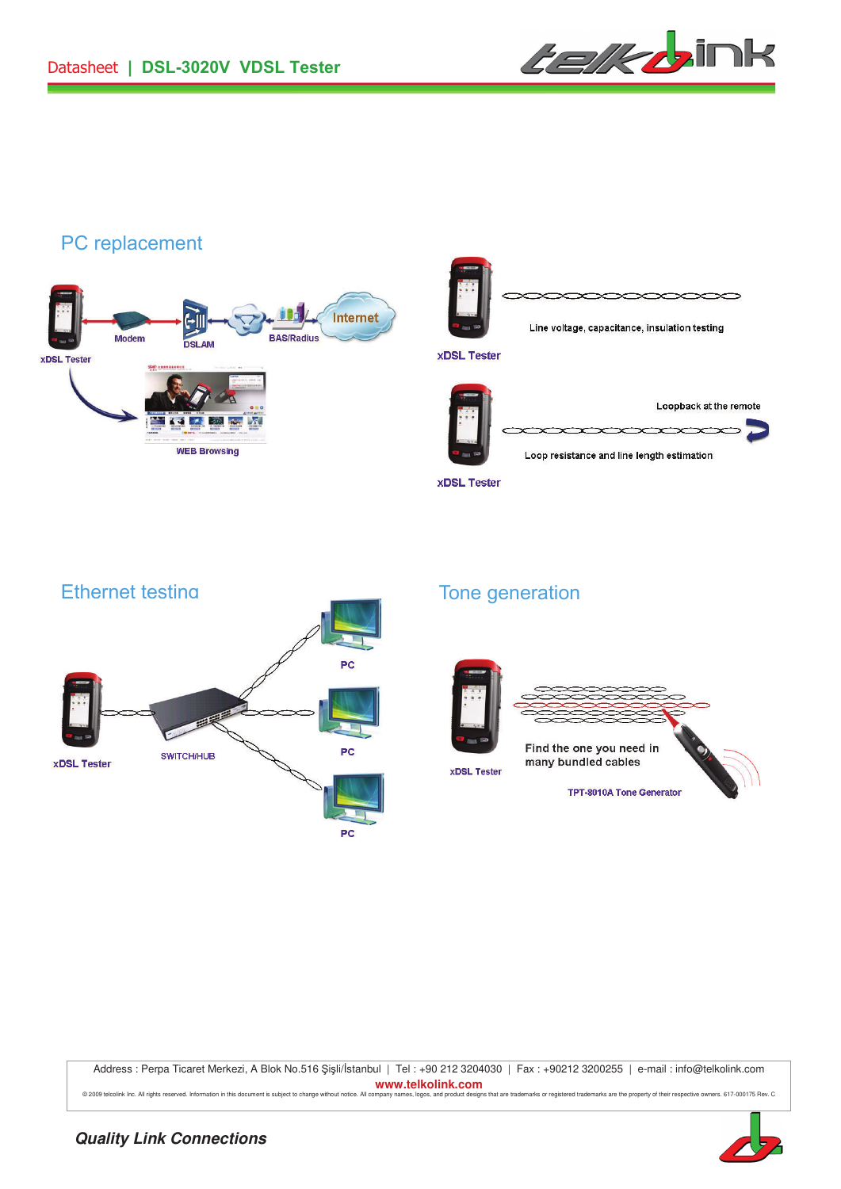

 $\overline{\phantom{a}}$ 

# PC replacement





Loop resistance and line length estimation

**xDSL Tester** 



## Tone generation



Address : Perpa Ticaret Merkezi, A Blok No.516 Şişli/İstanbul | Tel : +90 212 3204030 | Fax : +90212 3200255 | e-mail : info@telkolink.com **www.telkolink.com**  © 2009 telcolink Inc. All rights reserved. Information in this document is subject to change without notice. All company names, logos, and product designs that are trademarks or registered trademarks are the property of th